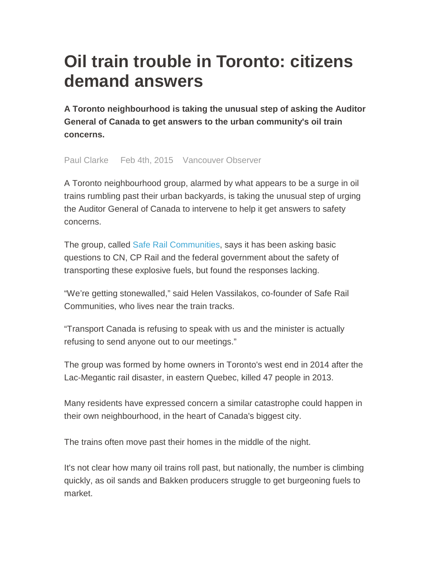## **Oil train trouble in Toronto: citizens demand answers**

**A Toronto neighbourhood is taking the unusual step of asking the Auditor General of Canada to get answers to the urban community's oil train concerns.** 

Paul Clarke Feb 4th, 2015 Vancouver Observer

A Toronto neighbourhood group, alarmed by what appears to be a surge in oil trains rumbling past their urban backyards, is taking the unusual step of urging the Auditor General of Canada to intervene to help it get answers to safety concerns.

The group, called Safe Rail Communities, says it has been asking basic questions to CN, CP Rail and the federal government about the safety of transporting these explosive fuels, but found the responses lacking.

"We're getting stonewalled," said Helen Vassilakos, co-founder of Safe Rail Communities, who lives near the train tracks.

"Transport Canada is refusing to speak with us and the minister is actually refusing to send anyone out to our meetings."

The group was formed by home owners in Toronto's west end in 2014 after the Lac-Megantic rail disaster, in eastern Quebec, killed 47 people in 2013.

Many residents have expressed concern a similar catastrophe could happen in their own neighbourhood, in the heart of Canada's biggest city.

The trains often move past their homes in the middle of the night.

It's not clear how many oil trains roll past, but nationally, the number is climbing quickly, as oil sands and Bakken producers struggle to get burgeoning fuels to market.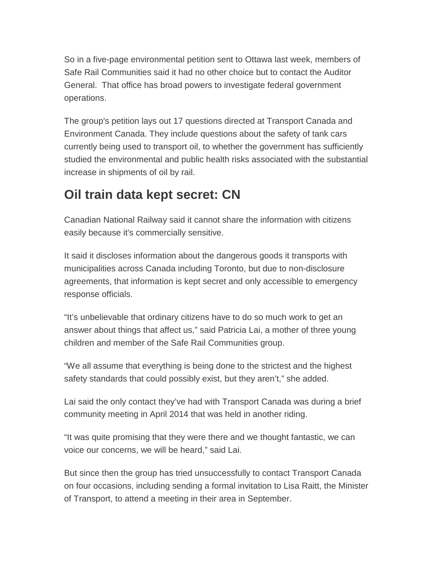So in a five-page environmental petition sent to Ottawa last week, members of Safe Rail Communities said it had no other choice but to contact the Auditor General. That office has broad powers to investigate federal government operations.

The group's petition lays out 17 questions directed at Transport Canada and Environment Canada. They include questions about the safety of tank cars currently being used to transport oil, to whether the government has sufficiently studied the environmental and public health risks associated with the substantial increase in shipments of oil by rail.

## **Oil train data kept secret: CN**

Canadian National Railway said it cannot share the information with citizens easily because it's commercially sensitive.

It said it discloses information about the dangerous goods it transports with municipalities across Canada including Toronto, but due to non-disclosure agreements, that information is kept secret and only accessible to emergency response officials.

"It's unbelievable that ordinary citizens have to do so much work to get an answer about things that affect us," said Patricia Lai, a mother of three young children and member of the Safe Rail Communities group.

"We all assume that everything is being done to the strictest and the highest safety standards that could possibly exist, but they aren't," she added.

Lai said the only contact they've had with Transport Canada was during a brief community meeting in April 2014 that was held in another riding.

"It was quite promising that they were there and we thought fantastic, we can voice our concerns, we will be heard," said Lai.

But since then the group has tried unsuccessfully to contact Transport Canada on four occasions, including sending a formal invitation to Lisa Raitt, the Minister of Transport, to attend a meeting in their area in September.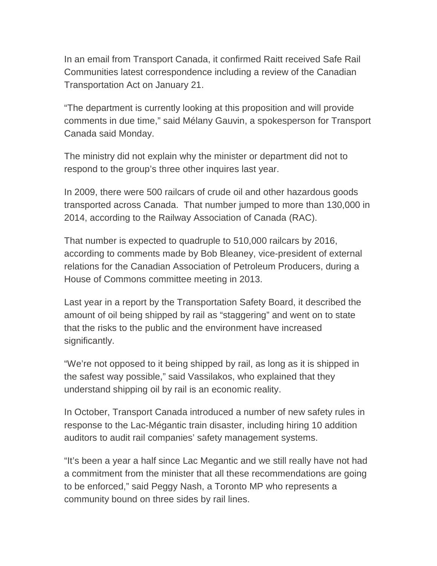In an email from Transport Canada, it confirmed Raitt received Safe Rail Communities latest correspondence including a review of the Canadian Transportation Act on January 21.

"The department is currently looking at this proposition and will provide comments in due time," said Mélany Gauvin, a spokesperson for Transport Canada said Monday.

The ministry did not explain why the minister or department did not to respond to the group's three other inquires last year.

In 2009, there were 500 railcars of crude oil and other hazardous goods transported across Canada. That number jumped to more than 130,000 in 2014, according to the Railway Association of Canada (RAC).

That number is expected to quadruple to 510,000 railcars by 2016, according to comments made by Bob Bleaney, vice-president of external relations for the Canadian Association of Petroleum Producers, during a House of Commons committee meeting in 2013.

Last year in a report by the Transportation Safety Board, it described the amount of oil being shipped by rail as "staggering" and went on to state that the risks to the public and the environment have increased significantly.

"We're not opposed to it being shipped by rail, as long as it is shipped in the safest way possible," said Vassilakos, who explained that they understand shipping oil by rail is an economic reality.

In October, Transport Canada introduced a number of new safety rules in response to the Lac-Mégantic train disaster, including hiring 10 addition auditors to audit rail companies' safety management systems.

"It's been a year a half since Lac Megantic and we still really have not had a commitment from the minister that all these recommendations are going to be enforced," said Peggy Nash, a Toronto MP who represents a community bound on three sides by rail lines.